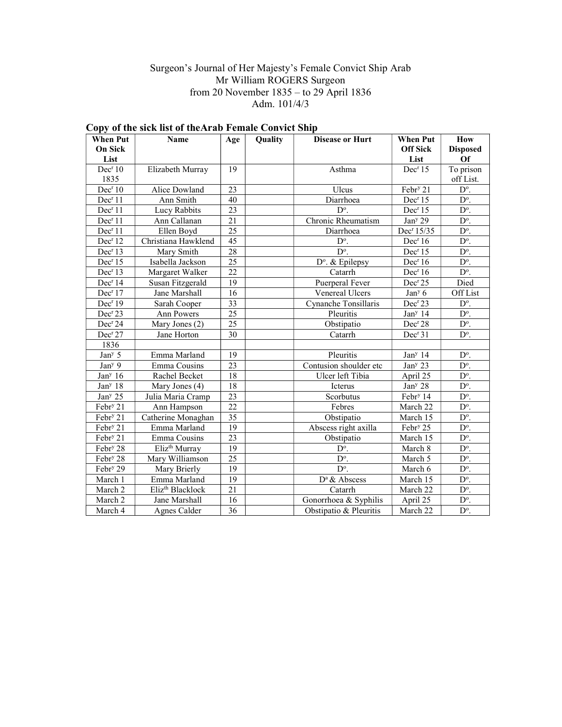### Surgeon's Journal of Her Majesty's Female Convict Ship Arab Mr William ROGERS Surgeon from 20 November 1835 – to 29 April 1836 Adm. 101/4/3

| <b>When Put</b><br><b>On Sick</b><br>List | Name                         | Age             | Quality | <b>Disease or Hurt</b>   | <b>When Put</b><br><b>Off Sick</b><br>List | How<br><b>Disposed</b><br>Of |
|-------------------------------------------|------------------------------|-----------------|---------|--------------------------|--------------------------------------------|------------------------------|
| Dec <sup>r</sup> 10                       | Elizabeth Murray             | 19              |         | Asthma                   | Dec <sup>r</sup> 15                        | To prison                    |
| 1835                                      |                              |                 |         |                          |                                            | off List.                    |
| Dec <sup>r</sup> 10                       | Alice Dowland                | 23              |         | Ulcus                    | Febr <sup>y</sup> 21                       | D°.                          |
| Dec <sup>r</sup> 11                       | Ann Smith                    | 40              |         | Diarrhoea                | Dec <sup>r</sup> 15                        | $D^{\circ}$ .                |
| Dec <sup>r</sup> 11                       | Lucy Rabbits                 | 23              |         | D°.                      | Dec <sup>r</sup> 15                        | $D^{\circ}$ .                |
| Dec <sup>r</sup> 11                       | Ann Callanan                 | 21              |         | Chronic Rheumatism       | Jan <sup>y</sup> 29                        | $D^{\circ}$ .                |
| Dec <sup>r</sup> 11                       | Ellen Boyd                   | 25              |         | Diarrhoea                | Dec <sup>r</sup> 15/35                     | D°.                          |
| Dec <sup>r</sup> 12                       | Christiana Hawklend          | 45              |         | D°.                      | Dec <sup>r</sup> 16                        | D°.                          |
| Dec <sup>r</sup> 13                       | Mary Smith                   | 28              |         | $D^{\circ}$ .            | Dec <sup>r</sup> 15                        | $D^{\circ}$ .                |
| Dec <sup>r</sup> 15                       | Isabella Jackson             | 25              |         | D°. & Epilepsy           | Dec <sup>r</sup> 16                        | $D^{\circ}$ .                |
| Dec <sup>r</sup> 13                       | Margaret Walker              | $\overline{22}$ |         | Catarrh                  | Dec <sup>r</sup> 16                        | $D^{\circ}$ .                |
| Dec <sup>r</sup> 14                       | Susan Fitzgerald             | 19              |         | Puerperal Fever          | Dec <sup>r</sup> 25                        | Died                         |
| Dec <sup>r</sup> 17                       | Jane Marshall                | 16              |         | Venereal Ulcers          | Jan <sup>y</sup> 6                         | Off List                     |
| Dec <sup>r</sup> 19                       | Sarah Cooper                 | $\overline{33}$ |         | Cynanche Tonsillaris     | Dec <sup>r</sup> 23                        | $D^{\circ}$ .                |
| Dec <sup>r</sup> 23                       | Ann Powers                   | $\overline{25}$ |         | Pleuritis                | Jan <sup>y</sup> 14                        | $D^{\circ}$ .                |
| Dec <sup>r</sup> 24                       | Mary Jones (2)               | $\overline{25}$ |         | Obstipatio               | Dec <sup>r</sup> 28                        | $D^{\circ}$ .                |
| Dec <sup>r</sup> 27                       | Jane Horton                  | 30              |         | Catarrh                  | Dec <sup>r</sup> 31                        | $D^{\circ}$ .                |
| 1836                                      |                              |                 |         |                          |                                            |                              |
| Jan <sup>y</sup> 5                        | Emma Marland                 | 19              |         | Pleuritis                | Jan <sup>y</sup> 14                        | $D^{\circ}$ .                |
| Jan <sup>y</sup> 9                        | Emma Cousins                 | 23              |         | Contusion shoulder etc   | Jan <sup>y</sup> 23                        | $\overline{D^{\circ}}$ .     |
| Jan <sup>y</sup> $16$                     | Rachel Becket                | 18              |         | Ulcer left Tibia         | April 25                                   | D°.                          |
| Jan <sup>y</sup> 18                       | Mary Jones (4)               | 18              |         | Icterus                  | Jan <sup>y</sup> 28                        | $D^{\circ}$ .                |
| Jan <sup>y</sup> 25                       | Julia Maria Cramp            | 23              |         | Scorbutus                | Febr <sup>y</sup> 14                       | $D^{\circ}$ .                |
| Febr <sup>y</sup> 21                      | Ann Hampson                  | 22              |         | Febres                   | March 22                                   | D°.                          |
| Febr <sup>y</sup> 21                      | Catherine Monaghan           | $\overline{35}$ |         | Obstipatio               | March 15                                   | $D^{\circ}$ .                |
| Febr <sup>y</sup> 21                      | Emma Marland                 | 19              |         | Abscess right axilla     | Febr <sup>y</sup> 25                       | $D^{\circ}$ .                |
| Febr <sup>y</sup> 21                      | Emma Cousins                 | 23              |         | Obstipatio               | March 15                                   | D°.                          |
| Febr <sup>y</sup> 28                      | Eliz <sup>th</sup> Murray    | 19              |         | $D^{\circ}$ .            | March 8                                    | $D^{\circ}$ .                |
| Febr <sup>y</sup> 28                      | Mary Williamson              | 25              |         | $\overline{D^{\circ}}$ . | March 5                                    | $D^{\circ}$ .                |
| Febr <sup>y</sup> 29                      | Mary Brierly                 | 19              |         | D°.                      | March 6                                    | D°.                          |
| March 1                                   | Emma Marland                 | 19              |         | D <sup>a</sup> & Abscess | March 15                                   | D°.                          |
| March 2                                   | Eliz <sup>th</sup> Blacklock | $\overline{21}$ |         | Catarrh                  | March 22                                   | D°.                          |
| March 2                                   | Jane Marshall                | 16              |         | Gonorrhoea & Syphilis    | April 25                                   | D°.                          |
| March 4                                   | Agnes Calder                 | 36              |         | Obstipatio & Pleuritis   | March 22                                   | $D^{\circ}$ .                |

# Copy of the sick list of theArab Female Convict Ship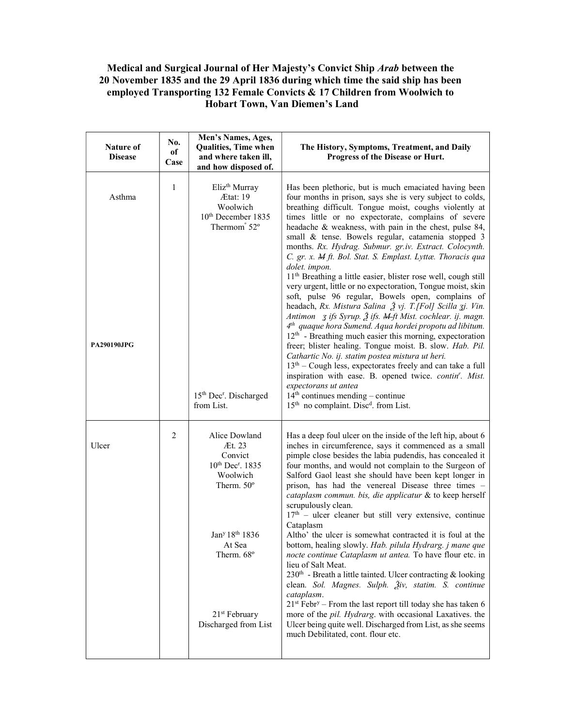## Medical and Surgical Journal of Her Majesty's Convict Ship Arab between the 20 November 1835 and the 29 April 1836 during which time the said ship has been employed Transporting 132 Female Convicts & 17 Children from Woolwich to Hobart Town, Van Diemen's Land

| Nature of<br><b>Disease</b>  | No.<br>оf<br>Case | Men's Names, Ages,<br>Qualities, Time when<br>and where taken ill,<br>and how disposed of.                                  | The History, Symptoms, Treatment, and Daily<br>Progress of the Disease or Hurt.                                                                                                                                                                                                                                                                                                                                                                                                                                                                                                                                                                                                                                                                                                                                                                                                                                                                                                                                                                                                                                                                                                                                                                              |
|------------------------------|-------------------|-----------------------------------------------------------------------------------------------------------------------------|--------------------------------------------------------------------------------------------------------------------------------------------------------------------------------------------------------------------------------------------------------------------------------------------------------------------------------------------------------------------------------------------------------------------------------------------------------------------------------------------------------------------------------------------------------------------------------------------------------------------------------------------------------------------------------------------------------------------------------------------------------------------------------------------------------------------------------------------------------------------------------------------------------------------------------------------------------------------------------------------------------------------------------------------------------------------------------------------------------------------------------------------------------------------------------------------------------------------------------------------------------------|
| Asthma<br><b>PA290190JPG</b> | $\mathbf{1}$      | Eliz <sup>th</sup> Murray<br>Ætat: 19<br>Woolwich<br>10 <sup>th</sup> December 1835<br>Thermom <sup>°</sup> 52 <sup>°</sup> | Has been plethoric, but is much emaciated having been<br>four months in prison, says she is very subject to colds,<br>breathing difficult. Tongue moist, coughs violently at<br>times little or no expectorate, complains of severe<br>headache & weakness, with pain in the chest, pulse 84,<br>small & tense. Bowels regular, catamenia stopped 3<br>months. Rx. Hydrag. Submur. gr.iv. Extract. Colocynth.<br>C. gr. x. M ft. Bol. Stat. S. Emplast. Lyttæ. Thoracis qua<br>dolet. impon.<br>11 <sup>th</sup> Breathing a little easier, blister rose well, cough still<br>very urgent, little or no expectoration, Tongue moist, skin<br>soft, pulse 96 regular, Bowels open, complains of<br>headach, Rx. Mistura Salina $\tilde{\mathcal{Z}}$ vj. T.[Fol] Scilla zj. Vin.<br>Antimon <i>z ifs Syrup. 2 ifs. <del>M ft</del> Mist. cochlear. ij. magn.</i><br>$4th$ quaque hora Sumend. Aqua hordei propotu ad libitum.<br>$12th$ - Breathing much easier this morning, expectoration<br>freer; blister healing. Tongue moist. B. slow. Hab. Pil.<br>Cathartic No. ij. statim postea mistura ut heri.<br>$13th$ – Cough less, expectorates freely and can take a full<br>inspiration with ease. B. opened twice. contin'. Mist.<br>expectorans ut antea |
|                              |                   | 15th Dec <sup>r</sup> . Discharged<br>from List.                                                                            | $14th$ continues mending – continue<br>15 <sup>th</sup> no complaint. Disc <sup>d</sup> . from List.                                                                                                                                                                                                                                                                                                                                                                                                                                                                                                                                                                                                                                                                                                                                                                                                                                                                                                                                                                                                                                                                                                                                                         |
| Ulcer                        | $\overline{2}$    | Alice Dowland<br>Æt. 23<br>Convict<br>$10^{th}$ Dec <sup>r</sup> . 1835<br>Woolwich<br>Therm. 50°                           | Has a deep foul ulcer on the inside of the left hip, about 6<br>inches in circumference, says it commenced as a small<br>pimple close besides the labia pudendis, has concealed it<br>four months, and would not complain to the Surgeon of<br>Salford Gaol least she should have been kept longer in<br>prison, has had the venereal Disease three times -<br>cataplasm commun. bis, die applicatur & to keep herself<br>scrupulously clean.<br>17 <sup>th</sup> - ulcer cleaner but still very extensive, continue<br>Cataplasm                                                                                                                                                                                                                                                                                                                                                                                                                                                                                                                                                                                                                                                                                                                            |
|                              |                   | Jan <sup>y</sup> 18 <sup>th</sup> 1836<br>At Sea<br>Therm. 68°                                                              | Altho' the ulcer is somewhat contracted it is foul at the<br>bottom, healing slowly. Hab. pilula Hydrarg. j mane que<br>nocte continue Cataplasm ut antea. To have flour etc. in<br>lieu of Salt Meat.<br>230 <sup>th</sup> - Breath a little tainted. Ulcer contracting & looking<br>clean. Sol. Magnes. Sulph. Živ, statim. S. continue<br>cataplasm.<br>$21st Febry - From the last report till today she has taken 6$                                                                                                                                                                                                                                                                                                                                                                                                                                                                                                                                                                                                                                                                                                                                                                                                                                    |
|                              |                   | 21 <sup>st</sup> February<br>Discharged from List                                                                           | more of the pil. Hydrarg. with occasional Laxatives. the<br>Ulcer being quite well. Discharged from List, as she seems<br>much Debilitated, cont. flour etc.                                                                                                                                                                                                                                                                                                                                                                                                                                                                                                                                                                                                                                                                                                                                                                                                                                                                                                                                                                                                                                                                                                 |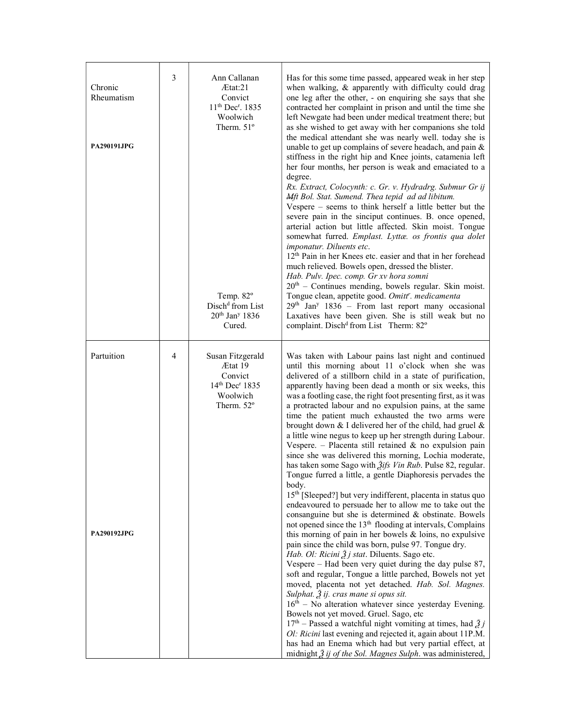| Chronic<br>Rheumatism<br><b>PA290191JPG</b> | 3 | Ann Callanan<br>Atat:21<br>Convict<br>11 <sup>th</sup> Dec <sup>r</sup> . 1835<br>Woolwich<br>Therm. 51°<br>Temp. 82 <sup>o</sup><br>Disch <sup>d</sup> from List<br>$20th$ Jan <sup>y</sup> 1836<br>Cured. | Has for this some time passed, appeared weak in her step<br>when walking, & apparently with difficulty could drag<br>one leg after the other, - on enquiring she says that she<br>contracted her complaint in prison and until the time she<br>left Newgate had been under medical treatment there; but<br>as she wished to get away with her companions she told<br>the medical attendant she was nearly well. today she is<br>unable to get up complains of severe headach, and pain &<br>stiffness in the right hip and Knee joints, catamenia left<br>her four months, her person is weak and emaciated to a<br>degree.<br>Rx. Extract, Colocynth: c. Gr. v. Hydradrg. Submur Gr ij<br>Mft Bol. Stat. Sumend. Thea tepid ad ad libitum.<br>Vespere – seems to think herself a little better but the<br>severe pain in the sinciput continues. B. once opened,<br>arterial action but little affected. Skin moist. Tongue<br>somewhat furred. Emplast. Lyttæ. os frontis qua dolet<br>imponatur. Diluents etc.<br>12 <sup>th</sup> Pain in her Knees etc. easier and that in her forehead<br>much relieved. Bowels open, dressed the blister.<br>Hab. Pulv. Ipec. comp. Gr xv hora somni<br>$20th$ – Continues mending, bowels regular. Skin moist.<br>Tongue clean, appetite good. Omitt'. medicamenta<br>$29th$ Jan <sup>y</sup> 1836 – From last report many occasional<br>Laxatives have been given. She is still weak but no<br>complaint. Disch <sup>d</sup> from List Therm: 82°                                                                                                                                                                                                                                                                                                                                                                                               |
|---------------------------------------------|---|-------------------------------------------------------------------------------------------------------------------------------------------------------------------------------------------------------------|------------------------------------------------------------------------------------------------------------------------------------------------------------------------------------------------------------------------------------------------------------------------------------------------------------------------------------------------------------------------------------------------------------------------------------------------------------------------------------------------------------------------------------------------------------------------------------------------------------------------------------------------------------------------------------------------------------------------------------------------------------------------------------------------------------------------------------------------------------------------------------------------------------------------------------------------------------------------------------------------------------------------------------------------------------------------------------------------------------------------------------------------------------------------------------------------------------------------------------------------------------------------------------------------------------------------------------------------------------------------------------------------------------------------------------------------------------------------------------------------------------------------------------------------------------------------------------------------------------------------------------------------------------------------------------------------------------------------------------------------------------------------------------------------------------------------------------------------------------------------------------------|
| Partuition<br><b>PA290192JPG</b>            | 4 | Susan Fitzgerald<br>Ætat 19<br>Convict<br>$14^{th}$ Dec <sup>r</sup> 1835<br>Woolwich<br>Therm. $52^{\circ}$                                                                                                | Was taken with Labour pains last night and continued<br>until this morning about 11 o'clock when she was<br>delivered of a stillborn child in a state of purification,<br>apparently having been dead a month or six weeks, this<br>was a footling case, the right foot presenting first, as it was<br>a protracted labour and no expulsion pains, at the same<br>time the patient much exhausted the two arms were<br>brought down $&$ I delivered her of the child, had gruel $&$<br>a little wine negus to keep up her strength during Labour.<br>Vespere. - Placenta still retained $\&$ no expulsion pain<br>since she was delivered this morning, Lochia moderate,<br>has taken some Sago with <i>Žifs Vin Rub</i> . Pulse 82, regular.<br>Tongue furred a little, a gentle Diaphoresis pervades the<br>body.<br>15 <sup>th</sup> [Sleeped?] but very indifferent, placenta in status quo<br>endeavoured to persuade her to allow me to take out the<br>consanguine but she is determined & obstinate. Bowels<br>not opened since the 13 <sup>th</sup> flooding at intervals, Complains<br>this morning of pain in her bowels $\&$ loins, no expulsive<br>pain since the child was born, pulse 97. Tongue dry.<br>Hab. Ol: Ricini Ž j stat. Diluents. Sago etc.<br>Vespere – Had been very quiet during the day pulse 87,<br>soft and regular, Tongue a little parched, Bowels not yet<br>moved, placenta not yet detached. Hab. Sol. Magnes.<br>Sulphat. $\tilde{A}$ ij. cras mane si opus sit.<br>$16th$ – No alteration whatever since yesterday Evening.<br>Bowels not yet moved. Gruel. Sago, etc<br>$17th$ – Passed a watchful night vomiting at times, had $\tilde{Z}j$<br>Ol: Ricini last evening and rejected it, again about 11P.M.<br>has had an Enema which had but very partial effect, at<br>midnight $\tilde{\beta}$ ij of the Sol. Magnes Sulph. was administered, |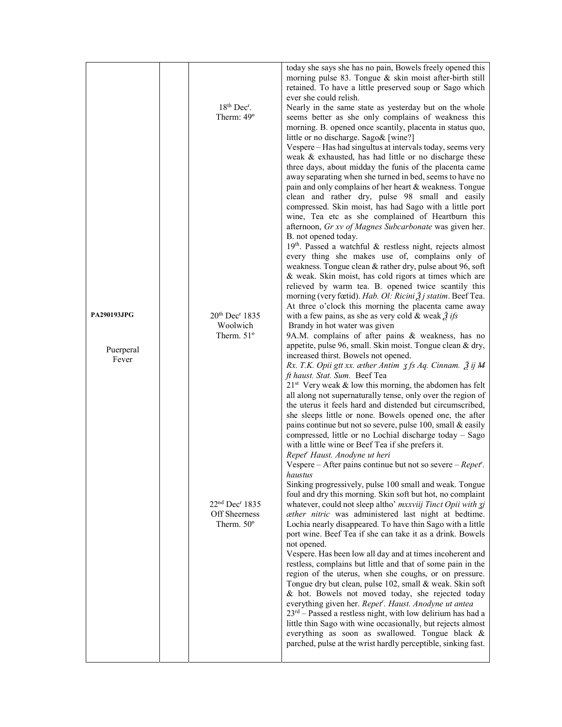|                                 | 18th Dec <sup>r</sup> .<br>Therm: 49°                                   | today she says she has no pain, Bowels freely opened this<br>morning pulse 83. Tongue & skin moist after-birth still<br>retained. To have a little preserved soup or Sago which<br>ever she could relish.<br>Nearly in the same state as yesterday but on the whole<br>seems better as she only complains of weakness this<br>morning. B. opened once scantily, placenta in status quo,<br>little or no discharge. Sago& [wine?]<br>Vespere - Has had singultus at intervals today, seems very<br>weak & exhausted, has had little or no discharge these                                                                                                                                                                                                                |
|---------------------------------|-------------------------------------------------------------------------|-------------------------------------------------------------------------------------------------------------------------------------------------------------------------------------------------------------------------------------------------------------------------------------------------------------------------------------------------------------------------------------------------------------------------------------------------------------------------------------------------------------------------------------------------------------------------------------------------------------------------------------------------------------------------------------------------------------------------------------------------------------------------|
|                                 |                                                                         | three days, about midday the funis of the placenta came<br>away separating when she turned in bed, seems to have no<br>pain and only complains of her heart & weakness. Tongue<br>clean and rather dry, pulse 98 small and easily<br>compressed. Skin moist, has had Sago with a little port<br>wine, Tea etc as she complained of Heartburn this<br>afternoon, Gr xv of Magnes Subcarbonate was given her.<br>B. not opened today.<br>$19th$ . Passed a watchful & restless night, rejects almost<br>every thing she makes use of, complains only of<br>weakness. Tongue clean & rather dry, pulse about 96, soft                                                                                                                                                      |
|                                 |                                                                         | & weak. Skin moist, has cold rigors at times which are<br>relieved by warm tea. B. opened twice scantily this<br>morning (very fœtid). Hab. Ol: Ricini Ž j statim. Beef Tea.<br>At three o'clock this morning the placenta came away                                                                                                                                                                                                                                                                                                                                                                                                                                                                                                                                    |
| <b>PA290193JPG</b><br>Puerperal | 20 <sup>th</sup> Dec <sup>r</sup> 1835<br>Woolwich<br>Therm. $51^\circ$ | with a few pains, as she as very cold & weak $\tilde{g}$ ifs<br>Brandy in hot water was given<br>9A.M. complains of after pains & weakness, has no<br>appetite, pulse 96, small. Skin moist. Tongue clean & dry,                                                                                                                                                                                                                                                                                                                                                                                                                                                                                                                                                        |
| Fever                           |                                                                         | increased thirst. Bowels not opened.<br>Rx. T.K. Opii gtt xx. æther Antim 3 fs Aq. Cinnam. $\tilde{\mathcal{Z}}$ ij M<br>ft haust. Stat. Sum. Beef Tea<br>$21st$ Very weak & low this morning, the abdomen has felt<br>all along not supernaturally tense, only over the region of<br>the uterus it feels hard and distended but circumscribed,<br>she sleeps little or none. Bowels opened one, the after<br>pains continue but not so severe, pulse 100, small & easily<br>compressed, little or no Lochial discharge today – Sago<br>with a little wine or Beef Tea if she prefers it.<br>Repet' Haust. Anodyne ut heri<br>Vespere – After pains continue but not so severe – $Repeat^r$ .                                                                           |
|                                 | $22nd$ Dec <sup>r</sup> 1835<br>Off Sheerness<br>Therm. 50°             | haustus<br>Sinking progressively, pulse 100 small and weak. Tongue<br>foul and dry this morning. Skin soft but hot, no complaint<br>whatever, could not sleep altho' mxxviij Tinct Opii with zj<br>æther nitric was administered last night at bedtime.                                                                                                                                                                                                                                                                                                                                                                                                                                                                                                                 |
|                                 |                                                                         | Lochia nearly disappeared. To have thin Sago with a little<br>port wine. Beef Tea if she can take it as a drink. Bowels<br>not opened.<br>Vespere. Has been low all day and at times incoherent and<br>restless, complains but little and that of some pain in the<br>region of the uterus, when she coughs, or on pressure.<br>Tongue dry but clean, pulse 102, small & weak. Skin soft<br>& hot. Bowels not moved today, she rejected today<br>everything given her. Repet <sup>r</sup> . Haust. Anodyne ut antea<br>$23rd$ – Passed a restless night, with low delirium has had a<br>little thin Sago with wine occasionally, but rejects almost<br>everything as soon as swallowed. Tongue black &<br>parched, pulse at the wrist hardly perceptible, sinking fast. |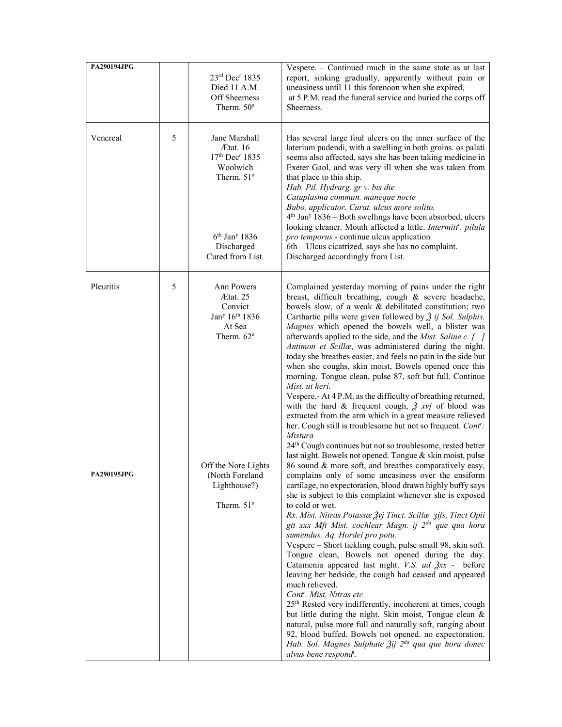| PA290194JPG |   |                                                                                                                                                    | Vespere. – Continued much in the same state as at last                                                                                                                                                                                                                                                                                                                                                                                                                                                                                                                                                                                                                                                                                                                                                                                                                                                                                                                                                                                                                                                        |
|-------------|---|----------------------------------------------------------------------------------------------------------------------------------------------------|---------------------------------------------------------------------------------------------------------------------------------------------------------------------------------------------------------------------------------------------------------------------------------------------------------------------------------------------------------------------------------------------------------------------------------------------------------------------------------------------------------------------------------------------------------------------------------------------------------------------------------------------------------------------------------------------------------------------------------------------------------------------------------------------------------------------------------------------------------------------------------------------------------------------------------------------------------------------------------------------------------------------------------------------------------------------------------------------------------------|
|             |   | 23rd Dec <sup>r</sup> 1835<br>Died 11 A.M.<br>Off Sheerness<br>Therm, $50^\circ$                                                                   | report, sinking gradually, apparently without pain or<br>uneasiness until 11 this forenoon when she expired,<br>at 5 P.M. read the funeral service and buried the corps off<br>Sheerness.                                                                                                                                                                                                                                                                                                                                                                                                                                                                                                                                                                                                                                                                                                                                                                                                                                                                                                                     |
| Venereal    | 5 | Jane Marshall<br>Ætat. 16<br>17th Dec <sup>r</sup> 1835<br>Woolwich<br>Therm. 51°<br>$6th$ Jan <sup>y</sup> 1836<br>Discharged<br>Cured from List. | Has several large foul ulcers on the inner surface of the<br>laterium pudendi, with a swelling in both groins. os palati<br>seems also affected, says she has been taking medicine in<br>Exeter Gaol, and was very ill when she was taken from<br>that place to this ship.<br>Hab. Pil. Hydrarg. gr v. bis die<br>Cataplasma commun. maneque nocte<br>Bubo. applicator. Curat. ulcus more solito.<br>$4th$ Jan <sup>y</sup> 1836 – Both swellings have been absorbed, ulcers<br>looking cleaner. Mouth affected a little. Intermitt'. pilula<br>pro temporus - continue ulcus application<br>6th – Ulcus cicatrized, says she has no complaint.<br>Discharged accordingly from List.                                                                                                                                                                                                                                                                                                                                                                                                                          |
| Pleuritis   | 5 | <b>Ann Powers</b><br>Ætat. 25<br>Convict<br>Jan <sup>y</sup> 16 <sup>th</sup> 1836<br>At Sea<br>Therm. 62°                                         | Complained yesterday morning of pains under the right<br>breast, difficult breathing, cough & severe headache,<br>bowels slow, of a weak & debilitated constitution; two<br>Carthartic pills were given followed by $\tilde{Z}$ ij Sol. Sulphis.<br>Magnes which opened the bowels well, a blister was<br>afterwards applied to the side, and the <i>Mist. Saline c.</i> $\begin{bmatrix}  \end{bmatrix}$<br>Antimon et Scillæ, was administered during the night.<br>today she breathes easier, and feels no pain in the side but<br>when she coughs, skin moist, Bowels opened once this<br>morning. Tongue clean, pulse 87, soft but full. Continue<br>Mist. ut heri.<br>Vespere.- At 4 P.M. as the difficulty of breathing returned,<br>with the hard & frequent cough, $\frac{3}{2}$ xvj of blood was<br>extracted from the arm which in a great measure relieved<br>her. Cough still is troublesome but not so frequent. Cont':<br><b>Mistura</b><br>24 <sup>th</sup> Cough continues but not so troublesome, rested better<br>last night. Bowels not opened. Tongue & skin moist, pulse                |
| PA290195JPG |   | Off the Nore Lights<br>(North Foreland<br>Lighthouse?)<br>Therm. 51°                                                                               | 86 sound & more soft, and breathes comparatively easy,<br>complains only of some uneasiness over the ensiform<br>cartilage, no expectoration, blood drawn highly buffy says<br>she is subject to this complaint whenever she is exposed<br>to cold or wet.<br>Rx. Mist. Nitras Potassæ Žvj Tinct. Scillæ zifs, Tinct Opii<br>gtt xxx Mft Mist. cochlear Magn. ij 2 <sup>da</sup> que qua hora<br>sumendus. Aq. Hordei pro potu.<br>Vespere - Short tickling cough, pulse small 98, skin soft.<br>Tongue clean, Bowels not opened during the day.<br>Catamenia appeared last night. V.S. ad $\frac{3}{2}xx$ - before<br>leaving her bedside, the cough had ceased and appeared<br>much relieved.<br>Cont <sup>r</sup> . Mist. Nitras etc<br>25 <sup>th</sup> Rested very indifferently, incoherent at times, cough<br>but little during the night. Skin moist, Tongue clean &<br>natural, pulse more full and naturally soft, ranging about<br>92, blood buffed. Bowels not opened. no expectoration.<br>Hab. Sol. Magnes Sulphate Ѯij 2 <sup>da</sup> qua que hora donec<br>alvus bene respond <sup>t</sup> . |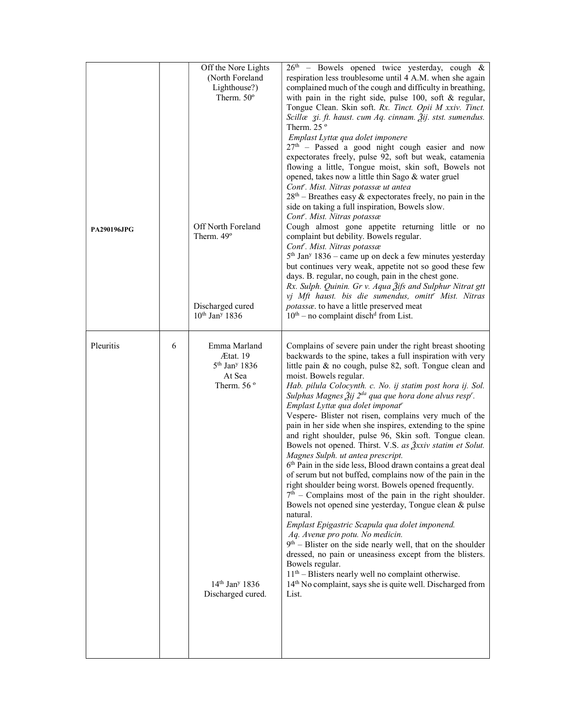| PA290196JPG |   | Off the Nore Lights<br>(North Foreland<br>Lighthouse?)<br>Therm. 50°<br>Off North Foreland<br>Therm. 49°                                      | $26th$ – Bowels opened twice yesterday, cough &<br>respiration less troublesome until 4 A.M. when she again<br>complained much of the cough and difficulty in breathing,<br>with pain in the right side, pulse $100$ , soft & regular,<br>Tongue Clean. Skin soft. Rx. Tinct. Opii M xxiv. Tinct.<br>Scillæ zi. ft. haust. cum Aq. cinnam. Žij. stst. sumendus.<br>Therm. 25 $\degree$<br>Emplast Lyttæ qua dolet imponere<br>$27th$ – Passed a good night cough easier and now<br>expectorates freely, pulse 92, soft but weak, catamenia<br>flowing a little, Tongue moist, skin soft, Bowels not<br>opened, takes now a little thin Sago & water gruel<br>Cont'. Mist. Nitras potassæ ut antea<br>$28th$ – Breathes easy & expectorates freely, no pain in the<br>side on taking a full inspiration, Bowels slow.<br>Cont'. Mist. Nitras potassæ<br>Cough almost gone appetite returning little or no<br>complaint but debility. Bowels regular.<br>Cont <sup>r</sup> . Mist. Nitras potassæ                                                                                                                                                                                                                                                                                                                                                                                                             |
|-------------|---|-----------------------------------------------------------------------------------------------------------------------------------------------|-------------------------------------------------------------------------------------------------------------------------------------------------------------------------------------------------------------------------------------------------------------------------------------------------------------------------------------------------------------------------------------------------------------------------------------------------------------------------------------------------------------------------------------------------------------------------------------------------------------------------------------------------------------------------------------------------------------------------------------------------------------------------------------------------------------------------------------------------------------------------------------------------------------------------------------------------------------------------------------------------------------------------------------------------------------------------------------------------------------------------------------------------------------------------------------------------------------------------------------------------------------------------------------------------------------------------------------------------------------------------------------------------------------|
|             |   | Discharged cured<br>$10^{th}$ Jan <sup>y</sup> 1836                                                                                           | $5th$ Jan <sup>y</sup> 1836 – came up on deck a few minutes yesterday<br>but continues very weak, appetite not so good these few<br>days. B. regular, no cough, pain in the chest gone.<br>Rx. Sulph. Quinin. Gr v. Aqua 3ifs and Sulphur Nitrat gtt<br>vj Mft haust. bis die sumendus, omitt <sup>r</sup> Mist. Nitras<br>potassæ. to have a little preserved meat<br>$10th$ – no complaint disch <sup>d</sup> from List.                                                                                                                                                                                                                                                                                                                                                                                                                                                                                                                                                                                                                                                                                                                                                                                                                                                                                                                                                                                  |
| Pleuritis   | 6 | Emma Marland<br>Ætat. 19<br>$5th$ Jan <sup>y</sup> 1836<br>At Sea<br>Therm. $56^{\circ}$<br>$14th$ Jan <sup>y</sup> 1836<br>Discharged cured. | Complains of severe pain under the right breast shooting<br>backwards to the spine, takes a full inspiration with very<br>little pain & no cough, pulse 82, soft. Tongue clean and<br>moist. Bowels regular.<br>Hab. pilula Colocynth. c. No. ij statim post hora ij. Sol.<br>Sulphas Magnes Žij 2 <sup>da</sup> qua que hora done alvus resp <sup>r</sup> .<br>Emplast Lyttæ qua dolet imponat <sup>r</sup><br>Vespere- Blister not risen, complains very much of the<br>pain in her side when she inspires, extending to the spine<br>and right shoulder, pulse 96, Skin soft. Tongue clean.<br>Bowels not opened. Thirst. V.S. as $\frac{3}{2}$ xxiv statim et Solut.<br>Magnes Sulph. ut antea prescript.<br>6th Pain in the side less, Blood drawn contains a great deal<br>of serum but not buffed, complains now of the pain in the<br>right shoulder being worst. Bowels opened frequently.<br>$7th$ – Complains most of the pain in the right shoulder.<br>Bowels not opened sine yesterday, Tongue clean & pulse<br>natural.<br>Emplast Epigastric Scapula qua dolet imponend.<br>Aq. Avenæ pro potu. No medicin.<br>$9th$ – Blister on the side nearly well, that on the shoulder<br>dressed, no pain or uneasiness except from the blisters.<br>Bowels regular.<br>$11th$ – Blisters nearly well no complaint otherwise.<br>14th No complaint, says she is quite well. Discharged from<br>List. |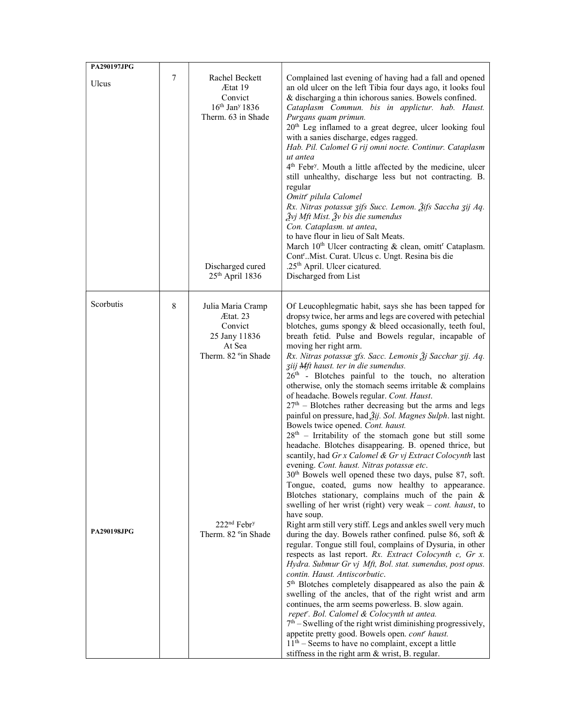| <b>PA290197JPG</b>              |   |                                                                                                                                                          |                                                                                                                                                                                                                                                                                                                                                                                                                                                                                                                                                                                                                                                                                                                                                                                                                                                                                                                                                                                                                                                                                                                                                                                                                                                                                                                                                                                                                                                                                                                                                                                                                                                                                                                                                                                                                                                                                                                                                                                                                     |
|---------------------------------|---|----------------------------------------------------------------------------------------------------------------------------------------------------------|---------------------------------------------------------------------------------------------------------------------------------------------------------------------------------------------------------------------------------------------------------------------------------------------------------------------------------------------------------------------------------------------------------------------------------------------------------------------------------------------------------------------------------------------------------------------------------------------------------------------------------------------------------------------------------------------------------------------------------------------------------------------------------------------------------------------------------------------------------------------------------------------------------------------------------------------------------------------------------------------------------------------------------------------------------------------------------------------------------------------------------------------------------------------------------------------------------------------------------------------------------------------------------------------------------------------------------------------------------------------------------------------------------------------------------------------------------------------------------------------------------------------------------------------------------------------------------------------------------------------------------------------------------------------------------------------------------------------------------------------------------------------------------------------------------------------------------------------------------------------------------------------------------------------------------------------------------------------------------------------------------------------|
| Ulcus                           | 7 | Rachel Beckett<br>Ætat 19<br>Convict<br>$16th$ Jan <sup>y</sup> 1836<br>Therm. 63 in Shade<br>Discharged cured<br>25th April 1836                        | Complained last evening of having had a fall and opened<br>an old ulcer on the left Tibia four days ago, it looks foul<br>& discharging a thin ichorous sanies. Bowels confined.<br>Cataplasm Commun. bis in applictur. hab. Haust.<br>Purgans quam primun.<br>20 <sup>th</sup> Leg inflamed to a great degree, ulcer looking foul<br>with a sanies discharge, edges ragged.<br>Hab. Pil. Calomel G rij omni nocte. Continur. Cataplasm<br>ut antea<br>4 <sup>th</sup> Febr <sup>y</sup> . Mouth a little affected by the medicine, ulcer<br>still unhealthy, discharge less but not contracting. B.<br>regular<br>Omitt' pilula Calomel<br>Rx. Nitras potassæ zifs Succ. Lemon. Žifs Saccha zij Aq.<br>Žvj Mft Mist. Žv bis die sumendus<br>Con. Cataplasm. ut antea,<br>to have flour in lieu of Salt Meats.<br>March 10 <sup>th</sup> Ulcer contracting & clean, omitt <sup>r</sup> Cataplasm.<br>Cont <sup>r</sup> Mist. Curat. Ulcus c. Ungt. Resina bis die<br>.25th April. Ulcer cicatured.<br>Discharged from List                                                                                                                                                                                                                                                                                                                                                                                                                                                                                                                                                                                                                                                                                                                                                                                                                                                                                                                                                                                          |
| Scorbutis<br><b>PA290198JPG</b> | 8 | Julia Maria Cramp<br>Ætat. 23<br>Convict<br>25 Jany 11836<br>At Sea<br>Therm. 82 °in Shade<br>222 <sup>nd</sup> Febr <sup>y</sup><br>Therm. 82 °in Shade | Of Leucophlegmatic habit, says she has been tapped for<br>dropsy twice, her arms and legs are covered with petechial<br>blotches, gums spongy & bleed occasionally, teeth foul,<br>breath fetid. Pulse and Bowels regular, incapable of<br>moving her right arm.<br>Rx. Nitras potassæ zfs. Sacc. Lemonis Žj Sacchar zij. Aq.<br>ziij Mft haust. ter in die sumendus.<br>26 <sup>th</sup> - Blotches painful to the touch, no alteration<br>otherwise, only the stomach seems irritable $&$ complains<br>of headache. Bowels regular. Cont. Haust.<br>$27th$ – Blotches rather decreasing but the arms and legs<br>painful on pressure, had Žij. Sol. Magnes Sulph. last night.<br>Bowels twice opened. Cont. haust.<br>$28th$ – Irritability of the stomach gone but still some<br>headache. Blotches disappearing. B. opened thrice, but<br>scantily, had Gr x Calomel & Gr vj Extract Colocynth last<br>evening. Cont. haust. Nitras potassæ etc.<br>$30th$ Bowels well opened these two days, pulse 87, soft.<br>Tongue, coated, gums now healthy to appearance.<br>Blotches stationary, complains much of the pain &<br>swelling of her wrist (right) very weak - cont. haust, to<br>have soup.<br>Right arm still very stiff. Legs and ankles swell very much<br>during the day. Bowels rather confined. pulse 86, soft $\&$<br>regular. Tongue still foul, complains of Dysuria, in other<br>respects as last report. Rx. Extract Colocynth c, Gr x.<br>Hydra. Submur Gr vj Mft, Bol. stat. sumendus, post opus.<br>contin. Haust. Antiscorbutic.<br>$5th$ Blotches completely disappeared as also the pain &<br>swelling of the ancles, that of the right wrist and arm<br>continues, the arm seems powerless. B. slow again.<br>repet". Bol. Calomel & Colocynth ut antea.<br>$7th$ – Swelling of the right wrist diminishing progressively,<br>appetite pretty good. Bowels open. contr haust.<br>$11th$ – Seems to have no complaint, except a little<br>stiffness in the right arm & wrist, B. regular. |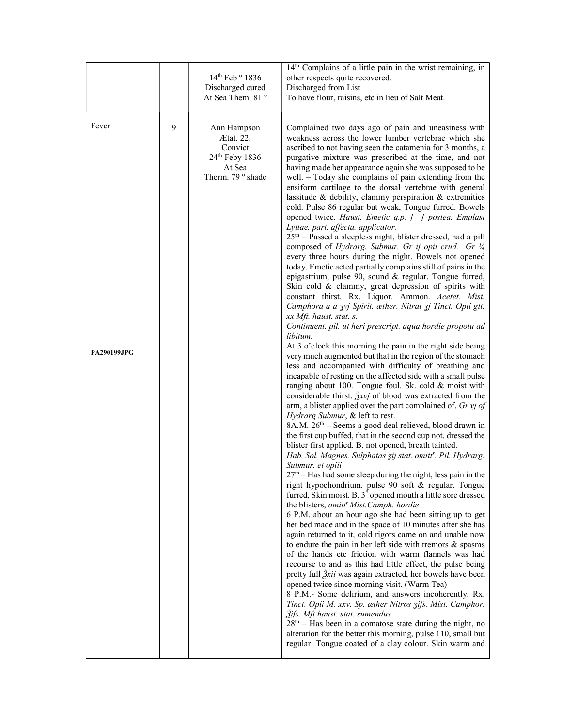|                             |   | 14th Feb ° 1836<br>Discharged cured<br>At Sea Them. 81 °                             | 14 <sup>th</sup> Complains of a little pain in the wrist remaining, in<br>other respects quite recovered.<br>Discharged from List<br>To have flour, raisins, etc in lieu of Salt Meat.                                                                                                                                                                                                                                                                                                                                                                                                                                                                                                                                                                                                                                                                                                                                                                                                                                                                                                                                                                                                                                                                                                                                                                                                                                                                                                                                                                                                                                                                                                                                                                                                                                                                                                                                                                                                                                                                                                                                                                                                                                                                                                                                                                                                                                                                                                                                                                                                                                                                                                                                                                                                                                                                                                                                                                                                                                                                                                                                                                  |
|-----------------------------|---|--------------------------------------------------------------------------------------|---------------------------------------------------------------------------------------------------------------------------------------------------------------------------------------------------------------------------------------------------------------------------------------------------------------------------------------------------------------------------------------------------------------------------------------------------------------------------------------------------------------------------------------------------------------------------------------------------------------------------------------------------------------------------------------------------------------------------------------------------------------------------------------------------------------------------------------------------------------------------------------------------------------------------------------------------------------------------------------------------------------------------------------------------------------------------------------------------------------------------------------------------------------------------------------------------------------------------------------------------------------------------------------------------------------------------------------------------------------------------------------------------------------------------------------------------------------------------------------------------------------------------------------------------------------------------------------------------------------------------------------------------------------------------------------------------------------------------------------------------------------------------------------------------------------------------------------------------------------------------------------------------------------------------------------------------------------------------------------------------------------------------------------------------------------------------------------------------------------------------------------------------------------------------------------------------------------------------------------------------------------------------------------------------------------------------------------------------------------------------------------------------------------------------------------------------------------------------------------------------------------------------------------------------------------------------------------------------------------------------------------------------------------------------------------------------------------------------------------------------------------------------------------------------------------------------------------------------------------------------------------------------------------------------------------------------------------------------------------------------------------------------------------------------------------------------------------------------------------------------------------------------------|
| Fever<br><b>PA290199JPG</b> | 9 | Ann Hampson<br>Ætat. 22.<br>Convict<br>24th Feby 1836<br>At Sea<br>Therm. 79 ° shade | Complained two days ago of pain and uneasiness with<br>weakness across the lower lumber vertebrae which she<br>ascribed to not having seen the catamenia for 3 months, a<br>purgative mixture was prescribed at the time, and not<br>having made her appearance again she was supposed to be<br>well. - Today she complains of pain extending from the<br>ensiform cartilage to the dorsal vertebrae with general<br>lassitude & debility, clammy perspiration & extremities<br>cold. Pulse 86 regular but weak, Tongue furred. Bowels<br>opened twice. Haust. Emetic q.p. [ ] postea. Emplast<br>Lyttae. part. affecta. applicator.<br>25 <sup>th</sup> – Passed a sleepless night, blister dressed, had a pill<br>composed of Hydrarg. Submur. Gr ij opii crud. Gr 1/4<br>every three hours during the night. Bowels not opened<br>today. Emetic acted partially complains still of pains in the<br>epigastrium, pulse 90, sound & regular. Tongue furred,<br>Skin cold & clammy, great depression of spirits with<br>constant thirst. Rx. Liquor. Ammon. Acetet. Mist.<br>Camphora a a zvj Spirit. æther. Nitrat zj Tinct. Opii gtt.<br>xx <i>Mft. haust. stat. s.</i><br>Continuent. pil. ut heri prescript. aqua hordie propotu ad<br>libitum.<br>At 3 o'clock this morning the pain in the right side being<br>very much augmented but that in the region of the stomach<br>less and accompanied with difficulty of breathing and<br>incapable of resting on the affected side with a small pulse<br>ranging about 100. Tongue foul. Sk. cold & moist with<br>considerable thirst. $\tilde{X}$ xvj of blood was extracted from the<br>arm, a blister applied over the part complained of. Gr vj of<br>Hydrarg Submur, & left to rest.<br>8A.M. 26 <sup>th</sup> – Seems a good deal relieved, blood drawn in<br>the first cup buffed, that in the second cup not. dressed the<br>blister first applied. B. not opened, breath tainted.<br>Hab. Sol. Magnes. Sulphatas zij stat. omitt'. Pil. Hydrarg.<br>Submur. et opiii<br>27 <sup>th</sup> – Has had some sleep during the night, less pain in the<br>right hypochondrium. pulse 90 soft & regular. Tongue<br>furred, Skin moist. B. 3 <sup>2</sup> opened mouth a little sore dressed<br>the blisters, omitt' Mist.Camph. hordie<br>6 P.M. about an hour ago she had been sitting up to get<br>her bed made and in the space of 10 minutes after she has<br>again returned to it, cold rigors came on and unable now<br>to endure the pain in her left side with tremors $\&$ spasms<br>of the hands etc friction with warm flannels was had<br>recourse to and as this had little effect, the pulse being<br>pretty full 2xii was again extracted, her bowels have been<br>opened twice since morning visit. (Warm Tea)<br>8 P.M.- Some delirium, and answers incoherently. Rx.<br>Tinct. Opii M. xxv. Sp. æther Nitros zifs. Mist. Camphor.<br><i><u><b>Žifs. Mft haust. stat. sumendus</b></u></i><br>$28th$ – Has been in a comatose state during the night, no<br>alteration for the better this morning, pulse 110, small but<br>regular. Tongue coated of a clay colour. Skin warm and |
|                             |   |                                                                                      |                                                                                                                                                                                                                                                                                                                                                                                                                                                                                                                                                                                                                                                                                                                                                                                                                                                                                                                                                                                                                                                                                                                                                                                                                                                                                                                                                                                                                                                                                                                                                                                                                                                                                                                                                                                                                                                                                                                                                                                                                                                                                                                                                                                                                                                                                                                                                                                                                                                                                                                                                                                                                                                                                                                                                                                                                                                                                                                                                                                                                                                                                                                                                         |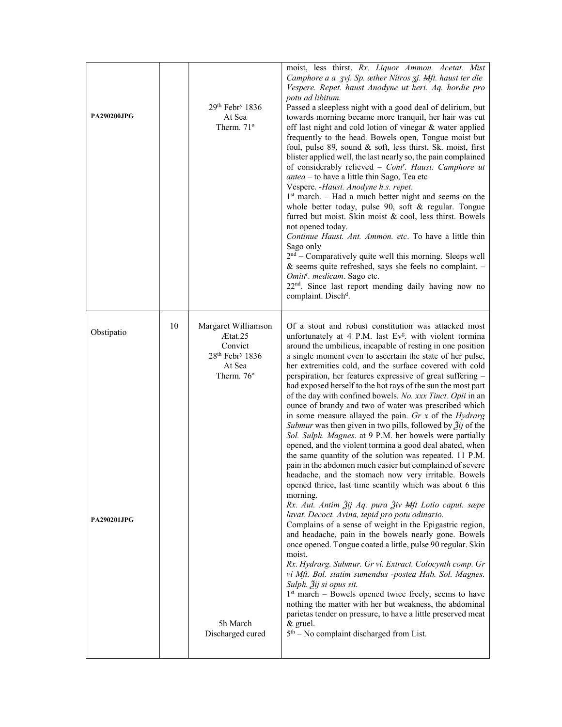| <b>PA290200JPG</b>               |    | $29th$ Febr <sup>y</sup> 1836<br>At Sea<br>Therm. $71^\circ$                                                                              | moist, less thirst. Rx. Liquor Ammon. Acetat. Mist<br>Camphore a a zvj. Sp. æther Nitros zj. Mft. haust ter die<br>Vespere. Repet. haust Anodyne ut heri. Aq. hordie pro<br>potu ad libitum.<br>Passed a sleepless night with a good deal of delirium, but<br>towards morning became more tranquil, her hair was cut<br>off last night and cold lotion of vinegar & water applied<br>frequently to the head. Bowels open, Tongue moist but<br>foul, pulse 89, sound & soft, less thirst. Sk. moist, first<br>blister applied well, the last nearly so, the pain complained<br>of considerably relieved - Cont'. Haust. Camphore ut<br><i>antea</i> – to have a little thin Sago, Tea etc<br>Vespere. - Haust. Anodyne h.s. repet.<br>$1st$ march. – Had a much better night and seems on the<br>whole better today, pulse 90, soft & regular. Tongue<br>furred but moist. Skin moist & cool, less thirst. Bowels<br>not opened today.<br>Continue Haust. Ant. Ammon. etc. To have a little thin<br>Sago only<br>2 <sup>nd</sup> – Comparatively quite well this morning. Sleeps well<br>& seems quite refreshed, says she feels no complaint. -<br>Omitt <sup>r</sup> . medicam. Sago etc.<br>22 <sup>nd</sup> . Since last report mending daily having now no<br>complaint. Disch <sup>d</sup> .                                                                                                                                                                                                                                                                                                                                                                                                                                                                                                                  |
|----------------------------------|----|-------------------------------------------------------------------------------------------------------------------------------------------|--------------------------------------------------------------------------------------------------------------------------------------------------------------------------------------------------------------------------------------------------------------------------------------------------------------------------------------------------------------------------------------------------------------------------------------------------------------------------------------------------------------------------------------------------------------------------------------------------------------------------------------------------------------------------------------------------------------------------------------------------------------------------------------------------------------------------------------------------------------------------------------------------------------------------------------------------------------------------------------------------------------------------------------------------------------------------------------------------------------------------------------------------------------------------------------------------------------------------------------------------------------------------------------------------------------------------------------------------------------------------------------------------------------------------------------------------------------------------------------------------------------------------------------------------------------------------------------------------------------------------------------------------------------------------------------------------------------------------------------------------------------------------------------------------------------------|
| Obstipatio<br><b>PA290201JPG</b> | 10 | Margaret Williamson<br>Ætat.25<br>Convict<br>28th Febr <sup>y</sup> 1836<br>At Sea<br>Therm. $76^{\circ}$<br>5h March<br>Discharged cured | Of a stout and robust constitution was attacked most<br>unfortunately at 4 P.M. last Ev <sup>g</sup> . with violent tormina<br>around the umbilicus, incapable of resting in one position<br>a single moment even to ascertain the state of her pulse,<br>her extremities cold, and the surface covered with cold<br>perspiration, her features expressive of great suffering -<br>had exposed herself to the hot rays of the sun the most part<br>of the day with confined bowels. No. xxx Tinct. Opii in an<br>ounce of brandy and two of water was prescribed which<br>in some measure allayed the pain. $Gr\ x$ of the <i>Hydrarg</i><br>Submur was then given in two pills, followed by $\tilde{Z}$ ij of the<br>Sol. Sulph. Magnes. at 9 P.M. her bowels were partially<br>opened, and the violent tormina a good deal abated, when<br>the same quantity of the solution was repeated. 11 P.M.<br>pain in the abdomen much easier but complained of severe<br>headache, and the stomach now very irritable. Bowels<br>opened thrice, last time scantily which was about 6 this<br>morning.<br>Rx. Aut. Antim Žij Aq. pura Živ Mft Lotio caput. sæpe<br>lavat. Decoct. Avina, tepid pro potu odinario.<br>Complains of a sense of weight in the Epigastric region,<br>and headache, pain in the bowels nearly gone. Bowels<br>once opened. Tongue coated a little, pulse 90 regular. Skin<br>moist.<br>Rx. Hydrarg. Submur. Gr vi. Extract. Colocynth comp. Gr<br>vi Mft. Bol. statim sumendus -postea Hab. Sol. Magnes.<br>Sulph. Žij si opus sit.<br>1 <sup>st</sup> march – Bowels opened twice freely, seems to have<br>nothing the matter with her but weakness, the abdominal<br>parietas tender on pressure, to have a little preserved meat<br>& gruel.<br>$5th$ – No complaint discharged from List. |
|                                  |    |                                                                                                                                           |                                                                                                                                                                                                                                                                                                                                                                                                                                                                                                                                                                                                                                                                                                                                                                                                                                                                                                                                                                                                                                                                                                                                                                                                                                                                                                                                                                                                                                                                                                                                                                                                                                                                                                                                                                                                                    |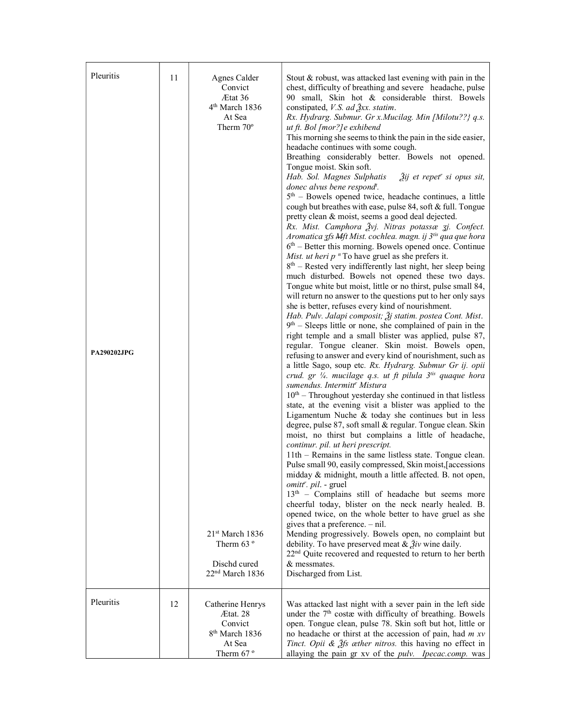| Pleuritis<br><b>PA290202JPG</b> | 11 | Agnes Calder<br>Convict<br>Ætat 36<br>4 <sup>th</sup> March 1836<br>At Sea<br>Therm $70^{\circ}$<br>21 <sup>st</sup> March 1836<br>Therm $63°$<br>Dischd cured<br>$22nd$ March 1836 | Stout & robust, was attacked last evening with pain in the<br>chest, difficulty of breathing and severe headache, pulse<br>90 small, Skin hot & considerable thirst. Bowels<br>constipated, $V.S.$ ad $\frac{3}{2}xx.$ statim.<br>Rx. Hydrarg. Submur. Gr x. Mucilag. Min [Milotu??} q.s.<br>ut ft. Bol [mor?] e exhibend<br>This morning she seems to think the pain in the side easier,<br>headache continues with some cough.<br>Breathing considerably better. Bowels not opened.<br>Tongue moist. Skin soft.<br>$\tilde{2}$ ij et repet" si opus sit,<br>Hab. Sol. Magnes Sulphatis<br>donec alvus bene respond <sup>t</sup> .<br>$5th$ – Bowels opened twice, headache continues, a little<br>cough but breathes with ease, pulse 84, soft & full. Tongue<br>pretty clean & moist, seems a good deal dejected.<br>Rx. Mist. Camphora Žvj. Nitras potassæ zj. Confect.<br>Aromatica zfs Mft Mist. cochlea. magn. ij 3 <sup>tis</sup> qua que hora<br>$6th$ – Better this morning. Bowels opened once. Continue<br>Mist. ut heri $p$ <sup>n</sup> To have gruel as she prefers it.<br>$8th$ – Rested very indifferently last night, her sleep being<br>much disturbed. Bowels not opened these two days.<br>Tongue white but moist, little or no thirst, pulse small 84,<br>will return no answer to the questions put to her only says<br>she is better, refuses every kind of nourishment.<br>Hab. Pulv. Jalapi composit; $\tilde{\mathfrak{Z}}$ j statim. postea Cont. Mist.<br>$9th$ – Sleeps little or none, she complained of pain in the<br>right temple and a small blister was applied, pulse 87,<br>regular. Tongue cleaner. Skin moist. Bowels open,<br>refusing to answer and every kind of nourishment, such as<br>a little Sago, soup etc. Rx. Hydrarg. Submur Gr ij. opii<br>crud. gr $\frac{1}{4}$ . mucilage q.s. ut ft pilula $3^{t}$ quaque hora<br>sumendus. Intermitt <sup>r</sup> Mistura<br>$10th$ – Throughout yesterday she continued in that listless<br>state, at the evening visit a blister was applied to the<br>Ligamentum Nuche & today she continues but in less<br>degree, pulse 87, soft small & regular. Tongue clean. Skin<br>moist, no thirst but complains a little of headache,<br>continur. pil. ut heri prescript.<br>11th – Remains in the same listless state. Tongue clean.<br>Pulse small 90, easily compressed, Skin moist, accessions<br>midday & midnight, mouth a little affected. B. not open,<br><i>omitt<sup>r</sup>. pil.</i> - gruel<br>13 <sup>th</sup> - Complains still of headache but seems more<br>cheerful today, blister on the neck nearly healed. B.<br>opened twice, on the whole better to have gruel as she<br>gives that a preference. $-$ nil.<br>Mending progressively. Bowels open, no complaint but<br>debility. To have preserved meat & $\tilde{g}_{iv}$ wine daily.<br>22 <sup>nd</sup> Quite recovered and requested to return to her berth<br>& messmates.<br>Discharged from List. |
|---------------------------------|----|-------------------------------------------------------------------------------------------------------------------------------------------------------------------------------------|-----------------------------------------------------------------------------------------------------------------------------------------------------------------------------------------------------------------------------------------------------------------------------------------------------------------------------------------------------------------------------------------------------------------------------------------------------------------------------------------------------------------------------------------------------------------------------------------------------------------------------------------------------------------------------------------------------------------------------------------------------------------------------------------------------------------------------------------------------------------------------------------------------------------------------------------------------------------------------------------------------------------------------------------------------------------------------------------------------------------------------------------------------------------------------------------------------------------------------------------------------------------------------------------------------------------------------------------------------------------------------------------------------------------------------------------------------------------------------------------------------------------------------------------------------------------------------------------------------------------------------------------------------------------------------------------------------------------------------------------------------------------------------------------------------------------------------------------------------------------------------------------------------------------------------------------------------------------------------------------------------------------------------------------------------------------------------------------------------------------------------------------------------------------------------------------------------------------------------------------------------------------------------------------------------------------------------------------------------------------------------------------------------------------------------------------------------------------------------------------------------------------------------------------------------------------------------------------------------------------------------------------------------------------------------------------------------------------------------------------------------------------------------------------------------------------------------------------------------------------------------------------------------------------------------------------------------------------------|
| Pleuritis                       | 12 | Catherine Henrys<br>Ætat. 28<br>Convict<br>8 <sup>th</sup> March 1836<br>At Sea<br>Therm $67°$                                                                                      | Was attacked last night with a sever pain in the left side<br>under the 7 <sup>th</sup> costæ with difficulty of breathing. Bowels<br>open. Tongue clean, pulse 78. Skin soft but hot, little or<br>no headache or thirst at the accession of pain, had $m x v$<br>Tinct. Opii & $\hat{\mathcal{J}}$ fs æther nitros. this having no effect in<br>allaying the pain gr xv of the pulv. Ipecac.comp. was                                                                                                                                                                                                                                                                                                                                                                                                                                                                                                                                                                                                                                                                                                                                                                                                                                                                                                                                                                                                                                                                                                                                                                                                                                                                                                                                                                                                                                                                                                                                                                                                                                                                                                                                                                                                                                                                                                                                                                                                                                                                                                                                                                                                                                                                                                                                                                                                                                                                                                                                                               |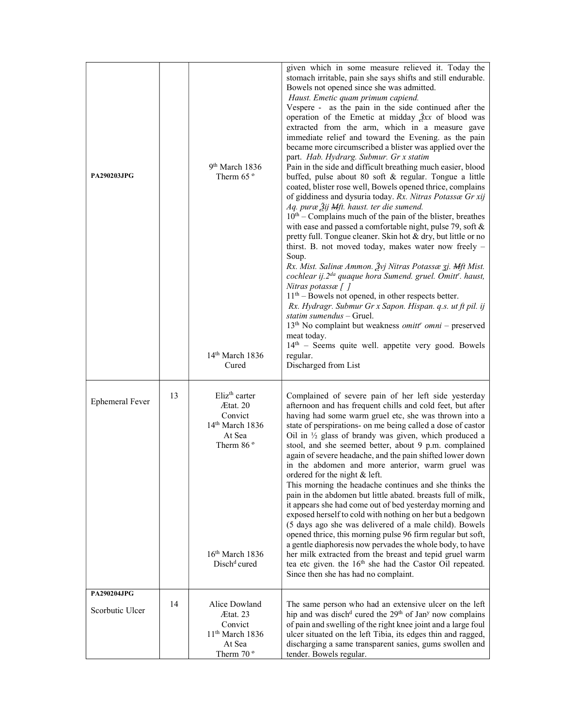| <b>PA290203JPG</b>     |    | 9 <sup>th</sup> March 1836<br>Therm $65°$<br>$14th$ March 1836<br>Cured                                                                                             | given which in some measure relieved it. Today the<br>stomach irritable, pain she says shifts and still endurable.<br>Bowels not opened since she was admitted.<br>Haust. Emetic quam primum capiend.<br>Vespere - as the pain in the side continued after the<br>operation of the Emetic at midday $\frac{3}{2}xx$ of blood was<br>extracted from the arm, which in a measure gave<br>immediate relief and toward the Evening. as the pain<br>became more circumscribed a blister was applied over the<br>part. Hab. Hydrarg. Submur. Gr x statim<br>Pain in the side and difficult breathing much easier, blood<br>buffed, pulse about 80 soft & regular. Tongue a little<br>coated, blister rose well, Bowels opened thrice, complains<br>of giddiness and dysuria today. Rx. Nitras Potassæ Gr xij<br>Aq. puræ Žij Mft. haust. ter die sumend.<br>$10th$ – Complains much of the pain of the blister, breathes<br>with ease and passed a comfortable night, pulse 79, soft $\&$<br>pretty full. Tongue cleaner. Skin hot & dry, but little or no<br>thirst. B. not moved today, makes water now freely -<br>Soup.<br>Rx. Mist. Salinæ Ammon. Žvj Nitras Potassæ 3j. Mft Mist.<br>cochlear ij.2 <sup>da</sup> quaque hora Sumend. gruel. Omitt <sup>r</sup> . haust,<br>Nitras potassæ [ ]<br>$11th$ – Bowels not opened, in other respects better.<br>Rx. Hydragr. Submur Gr x Sapon. Hispan. q.s. ut ft pil. ij<br>statim sumendus - Gruel.<br>$13th$ No complaint but weakness <i>omitt<sup>r</sup> omni</i> – preserved<br>meat today.<br>14th - Seems quite well. appetite very good. Bowels<br>regular.<br>Discharged from List |
|------------------------|----|---------------------------------------------------------------------------------------------------------------------------------------------------------------------|------------------------------------------------------------------------------------------------------------------------------------------------------------------------------------------------------------------------------------------------------------------------------------------------------------------------------------------------------------------------------------------------------------------------------------------------------------------------------------------------------------------------------------------------------------------------------------------------------------------------------------------------------------------------------------------------------------------------------------------------------------------------------------------------------------------------------------------------------------------------------------------------------------------------------------------------------------------------------------------------------------------------------------------------------------------------------------------------------------------------------------------------------------------------------------------------------------------------------------------------------------------------------------------------------------------------------------------------------------------------------------------------------------------------------------------------------------------------------------------------------------------------------------------------------------------------------------------------------------------------------------------|
| <b>Ephemeral Fever</b> | 13 | Eliz <sup>th</sup> carter<br>Ætat. 20<br>Convict<br>14 <sup>th</sup> March 1836<br>At Sea<br>Therm 86 <sup>°</sup><br>$16th$ March 1836<br>Disch <sup>d</sup> cured | Complained of severe pain of her left side yesterday<br>afternoon and has frequent chills and cold feet, but after<br>having had some warm gruel etc, she was thrown into a<br>state of perspirations- on me being called a dose of castor<br>Oil in $\frac{1}{2}$ glass of brandy was given, which produced a<br>stool, and she seemed better, about 9 p.m. complained<br>again of severe headache, and the pain shifted lower down<br>in the abdomen and more anterior, warm gruel was<br>ordered for the night & left.<br>This morning the headache continues and she thinks the<br>pain in the abdomen but little abated. breasts full of milk,<br>it appears she had come out of bed yesterday morning and<br>exposed herself to cold with nothing on her but a bedgown<br>(5 days ago she was delivered of a male child). Bowels<br>opened thrice, this morning pulse 96 firm regular but soft,<br>a gentle diaphoresis now pervades the whole body, to have<br>her milk extracted from the breast and tepid gruel warm<br>tea etc given. the 16 <sup>th</sup> she had the Castor Oil repeated.<br>Since then she has had no complaint.                                                                                                                                                                                                                                                                                                                                                                                                                                                                                            |
| PA290204JPG            |    |                                                                                                                                                                     |                                                                                                                                                                                                                                                                                                                                                                                                                                                                                                                                                                                                                                                                                                                                                                                                                                                                                                                                                                                                                                                                                                                                                                                                                                                                                                                                                                                                                                                                                                                                                                                                                                          |
| Scorbutic Ulcer        | 14 | Alice Dowland<br>Ætat. 23<br>Convict<br>11 <sup>th</sup> March 1836<br>At Sea<br>Therm $70^{\circ}$                                                                 | The same person who had an extensive ulcer on the left<br>hip and was disch <sup>d</sup> cured the 29 <sup>th</sup> of Jan <sup>y</sup> now complains<br>of pain and swelling of the right knee joint and a large foul<br>ulcer situated on the left Tibia, its edges thin and ragged,<br>discharging a same transparent sanies, gums swollen and<br>tender. Bowels regular.                                                                                                                                                                                                                                                                                                                                                                                                                                                                                                                                                                                                                                                                                                                                                                                                                                                                                                                                                                                                                                                                                                                                                                                                                                                             |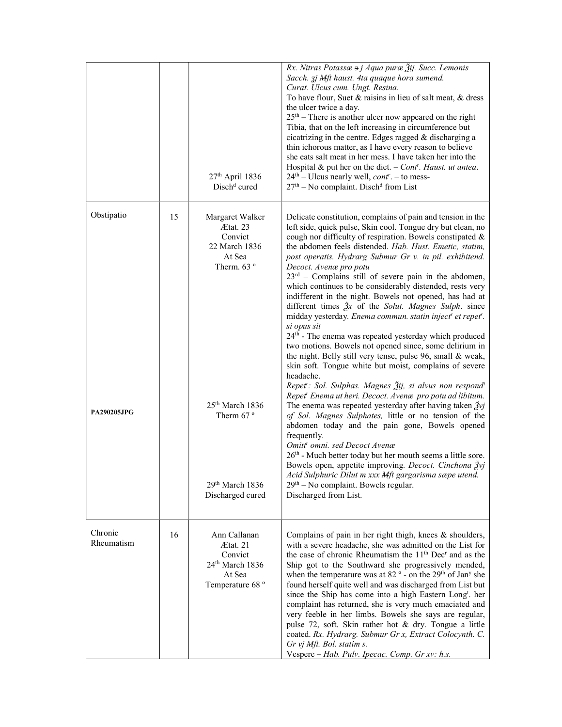|                       |    | 27 <sup>th</sup> April 1836<br>Disch <sup>d</sup> cured                                                     | Rx. Nitras Potassæ $\theta$ j Aqua puræ $\tilde{A}$ ij. Succ. Lemonis<br>Sacch. zj Mft haust. 4ta quaque hora sumend.<br>Curat. Ulcus cum. Ungt. Resina.<br>To have flour, Suet & raisins in lieu of salt meat, $\&$ dress<br>the ulcer twice a day.<br>$25th$ – There is another ulcer now appeared on the right<br>Tibia, that on the left increasing in circumference but<br>cicatrizing in the centre. Edges ragged $&$ discharging a<br>thin ichorous matter, as I have every reason to believe<br>she eats salt meat in her mess. I have taken her into the<br>Hospital & put her on the diet. $-$ Cont <sup>r</sup> . Haust. ut antea.<br>24 <sup>th</sup> – Ulcus nearly well, <i>cont<sup>r</sup></i> . – to mess-<br>$27th - No$ complaint. Disch <sup>d</sup> from List                                                                                                                                                                                                                                                                                                 |
|-----------------------|----|-------------------------------------------------------------------------------------------------------------|------------------------------------------------------------------------------------------------------------------------------------------------------------------------------------------------------------------------------------------------------------------------------------------------------------------------------------------------------------------------------------------------------------------------------------------------------------------------------------------------------------------------------------------------------------------------------------------------------------------------------------------------------------------------------------------------------------------------------------------------------------------------------------------------------------------------------------------------------------------------------------------------------------------------------------------------------------------------------------------------------------------------------------------------------------------------------------|
| Obstipatio            | 15 | Margaret Walker<br>Ætat. 23<br>Convict<br>22 March 1836<br>At Sea<br>Therm. $63°$                           | Delicate constitution, complains of pain and tension in the<br>left side, quick pulse, Skin cool. Tongue dry but clean, no<br>cough nor difficulty of respiration. Bowels constipated &<br>the abdomen feels distended. Hab. Hust. Emetic, statim,<br>post operatis. Hydrarg Submur Gr v. in pil. exhibitend.<br>Decoct. Avenæ pro potu<br>$23^{rd}$ – Complains still of severe pain in the abdomen,<br>which continues to be considerably distended, rests very<br>indifferent in the night. Bowels not opened, has had at<br>different times $\tilde{A}x$ of the Solut. Magnes Sulph. since<br>midday yesterday. Enema commun. statin inject" et repet".<br>si opus sit<br>24 <sup>th</sup> - The enema was repeated yesterday which produced<br>two motions. Bowels not opened since, some delirium in<br>the night. Belly still very tense, pulse 96, small & weak,<br>skin soft. Tongue white but moist, complains of severe<br>headache.<br>Repet': Sol. Sulphas. Magnes Žij, si alvus non respond <sup>t</sup><br>Repet' Enema ut heri. Decoct. Avenæ pro potu ad libitum. |
| PA290205JPG           |    | 25 <sup>th</sup> March 1836<br>Therm $67°$<br>29th March 1836<br>Discharged cured                           | The enema was repeated yesterday after having taken $\tilde{Z}$ vj<br>of Sol. Magnes Sulphates, little or no tension of the<br>abdomen today and the pain gone, Bowels opened<br>frequently.<br>Omitt' omni. sed Decoct Avenæ<br>26 <sup>th</sup> - Much better today but her mouth seems a little sore.<br>Bowels open, appetite improving. Decoct. Cinchona Žvj<br>Acid Sulphuric Dilut m xxx Mft gargarisma sæpe utend.<br>$29th$ – No complaint. Bowels regular.<br>Discharged from List.                                                                                                                                                                                                                                                                                                                                                                                                                                                                                                                                                                                      |
| Chronic<br>Rheumatism | 16 | Ann Callanan<br>Ætat. 21<br>Convict<br>24 <sup>th</sup> March 1836<br>At Sea<br>Temperature 68 <sup>°</sup> | Complains of pain in her right thigh, knees $\&$ shoulders,<br>with a severe headache, she was admitted on the List for<br>the case of chronic Rheumatism the 11 <sup>th</sup> Dec <sup>r</sup> and as the<br>Ship got to the Southward she progressively mended,<br>when the temperature was at $82^{\circ}$ - on the 29 <sup>th</sup> of Jan <sup>y</sup> she<br>found herself quite well and was discharged from List but<br>since the Ship has come into a high Eastern Longt. her<br>complaint has returned, she is very much emaciated and<br>very feeble in her limbs. Bowels she says are regular,<br>pulse 72, soft. Skin rather hot & dry. Tongue a little<br>coated. Rx. Hydrarg. Submur Gr x, Extract Colocynth. C.<br>Gr vj Mft. Bol. statim s.<br>Vespere - Hab. Pulv. Ipecac. Comp. Gr xv: h.s.                                                                                                                                                                                                                                                                     |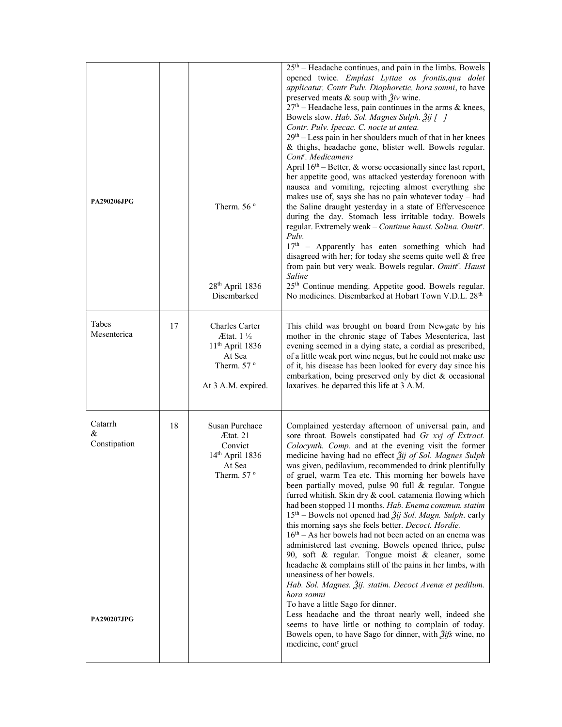| <b>PA290206JPG</b>                                 |    | Therm. 56 $o$<br>$28th$ April 1836<br>Disembarked                                                         | $25th$ – Headache continues, and pain in the limbs. Bowels<br>opened twice. Emplast Lyttae os frontis, qua dolet<br>applicatur, Contr Pulv. Diaphoretic, hora somni, to have<br>preserved meats & soup with $\tilde{Z}$ <i>iv</i> wine.<br>$27th$ – Headache less, pain continues in the arms & knees,<br>Bowels slow. Hab. Sol. Magnes Sulph. 2ij [ ]<br>Contr. Pulv. Ipecac. C. nocte ut antea.<br>$29th$ – Less pain in her shoulders much of that in her knees<br>& thighs, headache gone, blister well. Bowels regular.<br>Cont <sup>r</sup> . Medicamens<br>April $16th$ – Better, & worse occasionally since last report,<br>her appetite good, was attacked yesterday forenoon with<br>nausea and vomiting, rejecting almost everything she<br>makes use of, says she has no pain whatever today - had<br>the Saline draught yesterday in a state of Effervescence<br>during the day. Stomach less irritable today. Bowels<br>regular. Extremely weak - Continue haust. Salina. Omitt'.<br>Pulv.<br>$17th$ - Apparently has eaten something which had<br>disagreed with her; for today she seems quite well & free<br>from pain but very weak. Bowels regular. Omitt'. Haust<br>Saline<br>25 <sup>th</sup> Continue mending. Appetite good. Bowels regular.<br>No medicines. Disembarked at Hobart Town V.D.L. 28 <sup>th</sup> |
|----------------------------------------------------|----|-----------------------------------------------------------------------------------------------------------|-----------------------------------------------------------------------------------------------------------------------------------------------------------------------------------------------------------------------------------------------------------------------------------------------------------------------------------------------------------------------------------------------------------------------------------------------------------------------------------------------------------------------------------------------------------------------------------------------------------------------------------------------------------------------------------------------------------------------------------------------------------------------------------------------------------------------------------------------------------------------------------------------------------------------------------------------------------------------------------------------------------------------------------------------------------------------------------------------------------------------------------------------------------------------------------------------------------------------------------------------------------------------------------------------------------------------------------------|
| Tabes<br>Mesenterica                               | 17 | Charles Carter<br>$Atat. 1\%$<br>$11th$ April 1836<br>At Sea<br>Therm. $57^{\circ}$<br>At 3 A.M. expired. | This child was brought on board from Newgate by his<br>mother in the chronic stage of Tabes Mesenterica, last<br>evening seemed in a dying state, a cordial as prescribed,<br>of a little weak port wine negus, but he could not make use<br>of it, his disease has been looked for every day since his<br>embarkation, being preserved only by diet & occasional<br>laxatives. he departed this life at 3 A.M.                                                                                                                                                                                                                                                                                                                                                                                                                                                                                                                                                                                                                                                                                                                                                                                                                                                                                                                         |
| Catarrh<br>&<br>Constipation<br><b>PA290207JPG</b> | 18 | Susan Purchace<br>Ætat. 21<br>Convict<br>14 <sup>th</sup> April 1836<br>At Sea<br>Therm. 57 $\degree$     | Complained yesterday afternoon of universal pain, and<br>sore throat. Bowels constipated had Gr xvj of Extract.<br>Colocynth. Comp. and at the evening visit the former<br>medicine having had no effect $\tilde{A}$ ij of Sol. Magnes Sulph<br>was given, pedilavium, recommended to drink plentifully<br>of gruel, warm Tea etc. This morning her bowels have<br>been partially moved, pulse 90 full & regular. Tongue<br>furred whitish. Skin dry & cool. catamenia flowing which<br>had been stopped 11 months. Hab. Enema commun. statim<br>$15th$ – Bowels not opened had $\tilde{2}$ ij Sol. Magn. Sulph. early<br>this morning says she feels better. Decoct. Hordie.<br>$16th - As$ her bowels had not been acted on an enema was<br>administered last evening. Bowels opened thrice, pulse<br>90, soft & regular. Tongue moist & cleaner, some<br>headache & complains still of the pains in her limbs, with<br>uneasiness of her bowels.<br>Hab. Sol. Magnes. Žij. statim. Decoct Avenæ et pedilum.<br>hora somni<br>To have a little Sago for dinner.<br>Less headache and the throat nearly well, indeed she<br>seems to have little or nothing to complain of today.<br>Bowels open, to have Sago for dinner, with $\tilde{g}$ ifs wine, no<br>medicine, cont <sup>r</sup> gruel                                          |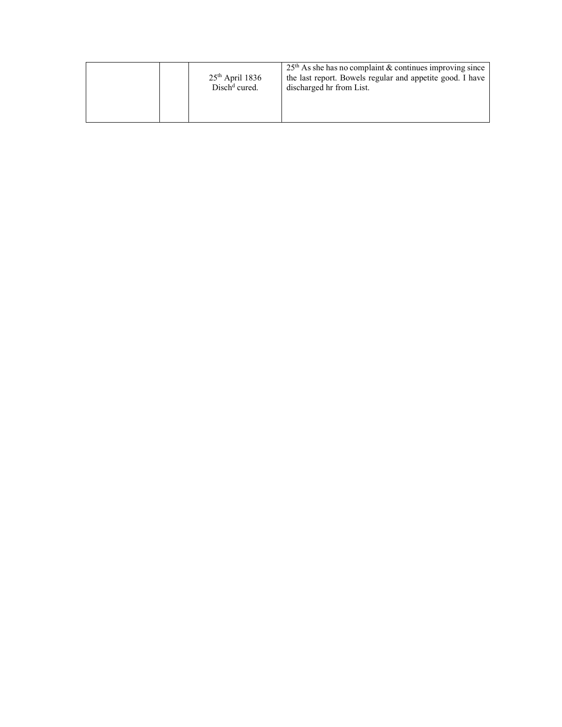|  | $25th$ April 1836<br>$Dischd$ cured. | $25th$ As she has no complaint & continues improving since<br>the last report. Bowels regular and appetite good. I have<br>discharged hr from List. |
|--|--------------------------------------|-----------------------------------------------------------------------------------------------------------------------------------------------------|
|--|--------------------------------------|-----------------------------------------------------------------------------------------------------------------------------------------------------|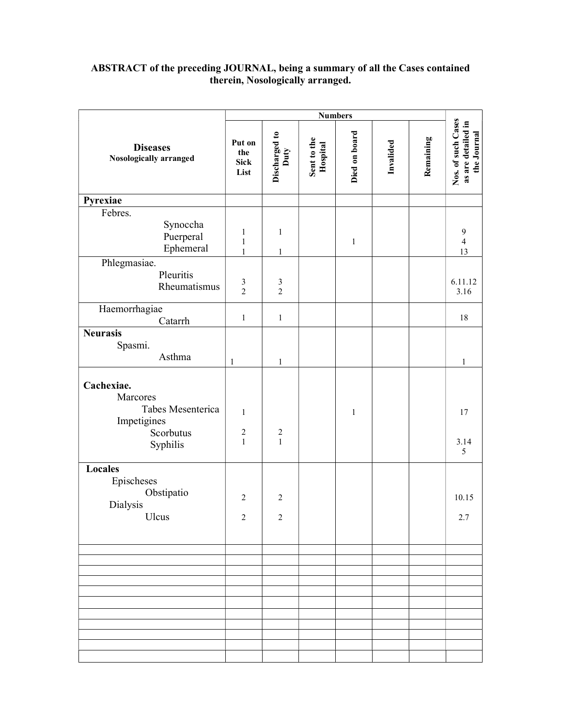## ABSTRACT of the preceding JOURNAL, being a summary of all the Cases contained therein, Nosologically arranged.

|                                                                                     | <b>Numbers</b>                             |                                  |                         |               |           |           |                                                         |
|-------------------------------------------------------------------------------------|--------------------------------------------|----------------------------------|-------------------------|---------------|-----------|-----------|---------------------------------------------------------|
| <b>Diseases</b><br>Nosologically arranged                                           | Put on<br>the<br><b>Sick</b><br>List       | Discharged to<br>Duty            | Sent to the<br>Hospital | Died on board | Invalided | Remaining | Nos. of such Cases<br>as are detailed in<br>the Journal |
| Pyrexiae                                                                            |                                            |                                  |                         |               |           |           |                                                         |
| Febres.<br>Synoccha<br>Puerperal<br>Ephemeral                                       | 1<br>$\mathbf{1}$<br>$\mathbf{1}$          | $\mathbf{1}$<br>$\mathbf{1}$     |                         | $\,1$         |           |           | $\mathbf{9}$<br>$\overline{4}$<br>13                    |
| Phlegmasiae.<br>Pleuritis<br>Rheumatismus                                           | $\frac{3}{2}$                              | $\mathfrak{Z}$<br>$\overline{2}$ |                         |               |           |           | 6.11.12<br>3.16                                         |
| Haemorrhagiae<br>Catarrh                                                            | $\,1$                                      | $\mathbf{1}$                     |                         |               |           |           | $18\,$                                                  |
| <b>Neurasis</b><br>Spasmi.<br>Asthma                                                | $\mathbf{1}$                               | $\mathbf{1}$                     |                         |               |           |           | $\mathbf{1}$                                            |
| Cachexiae.<br>Marcores<br>Tabes Mesenterica<br>Impetigines<br>Scorbutus<br>Syphilis | $\mathbf{1}$<br>$\sqrt{2}$<br>$\mathbf{1}$ | $\sqrt{2}$<br>$\mathbf{1}$       |                         | $\mathbf{1}$  |           |           | 17<br>3.14<br>5                                         |
| Locales<br>Epischeses<br>Obstipatio<br>Dialysis<br>Ulcus                            | $\overline{2}$<br>$\overline{c}$           | $\overline{2}$<br>$\overline{c}$ |                         |               |           |           | 10.15<br>2.7                                            |
|                                                                                     |                                            |                                  |                         |               |           |           |                                                         |
|                                                                                     |                                            |                                  |                         |               |           |           |                                                         |
|                                                                                     |                                            |                                  |                         |               |           |           |                                                         |
|                                                                                     |                                            |                                  |                         |               |           |           |                                                         |